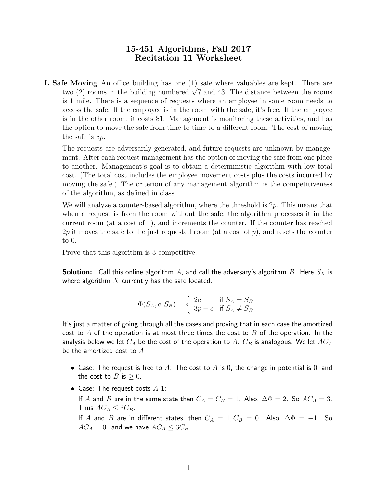## 15-451 Algorithms, Fall 2017 Recitation 11 Worksheet

I. Safe Moving An office building has one (1) safe where valuables are kept. There are to **Noving** An omce building has one (1) sate where valuables are kept. There are two (2) rooms in the building numbered  $\sqrt{7}$  and 43. The distance between the rooms is 1 mile. There is a sequence of requests where an employee in some room needs to access the safe. If the employee is in the room with the safe, it's free. If the employee is in the other room, it costs \$1. Management is monitoring these activities, and has the option to move the safe from time to time to a different room. The cost of moving the safe is \$p.

The requests are adversarily generated, and future requests are unknown by management. After each request management has the option of moving the safe from one place to another. Management's goal is to obtain a deterministic algorithm with low total cost. (The total cost includes the employee movement costs plus the costs incurred by moving the safe.) The criterion of any management algorithm is the competitiveness of the algorithm, as defined in class.

We will analyze a counter-based algorithm, where the threshold is  $2p$ . This means that when a request is from the room without the safe, the algorithm processes it in the current room (at a cost of 1), and increments the counter. If the counter has reached  $2p$  it moves the safe to the just requested room (at a cost of p), and resets the counter to 0.

Prove that this algorithm is 3-competitive.

**Solution:** Call this online algorithm A, and call the adversary's algorithm B. Here  $S_X$  is where algorithm  $X$  currently has the safe located.

$$
\Phi(S_A, c, S_B) = \begin{cases} 2c & \text{if } S_A = S_B \\ 3p - c & \text{if } S_A \neq S_B \end{cases}
$$

It's just a matter of going through all the cases and proving that in each case the amortized cost to A of the operation is at most three times the cost to B of the operation. In the analysis below we let  $C_A$  be the cost of the operation to  $A$ .  $C_B$  is analogous. We let  $AC_A$ be the amortized cost to  $A$ .

- Case: The request is free to A: The cost to A is 0, the change in potential is 0, and the cost to B is  $\geq 0$ .
- Case: The request costs  $A$  1:

If A and B are in the same state then  $C_A = C_B = 1$ . Also,  $\Delta \Phi = 2$ . So  $AC_A = 3$ . Thus  $AC_A \leq 3C_B$ .

If A and B are in different states, then  $C_A = 1, C_B = 0$ . Also,  $\Delta \Phi = -1$ . So  $AC_A = 0$ . and we have  $AC_A \leq 3C_B$ .